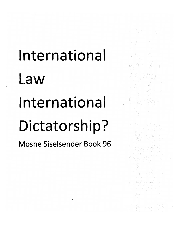# **International** Law International Dictatorship?

*Moshe Siselsender Book 96*

 $\mathbf 1$ 

ing an thuilligh<br>The State Company<br>The State Company<br>The State Company of the State

en en 1952<br>1995 - Paul II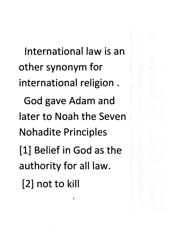*International law is an other synonym for international religion. God gave Adam and later to Noah the Seven Nohadite Principles [1] Belief in God as the authority for all law. [2] not to kill*

 $\mathbf 2$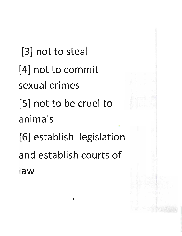[3] not to steal [4] not to commit sexual crimes [5] not to be cruel to animals [6] establish legislation and establish courts of law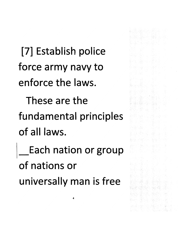*[7] Establish police force army navy to enforce the laws.*

*These are the fundamental principles of all laws.*

*Each nation or group of nations or universally man is free*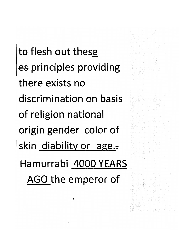*to flesh out these es principles providing there exists no discrimination on basis of religion nationa origin gender color of* skin diability or age. *Hamurrabi 4000 YEARS AGO the emperor of*

5

第4章 150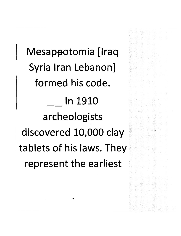*Mesappotomia [Iraq Syria Iran Lebanon] formed his code. In 1910 archeologists discovered 10,000 clay tablets of his laws. They represent the earliest*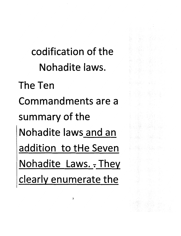*codification of the Nohadite laws.*

*The Ten Commandments are a summary of the Nohadite laws and an addition to tHe Seven Nohadite Laws, t They clearly enumerate the*

 $\overline{\phantom{a}}$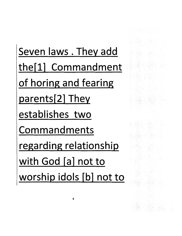Seven laws . They add the[1] Commandment of horing and fearing parents[2] They establishes two Commandments regarding relationship with God [a] not to worship idols [b] not to

1923 - James Barnett, amerikansk konstantinsport<br>1929 - James Barnett, amerikansk konstantinsport<br>1929 - James Barnett, amerikansk konstantinsport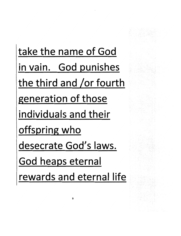take the name of God in vain. God punishes the third and /or fourth generation of those individuals and their offspring who desecrate God's laws. God heaps eternal rewards and eternal life

q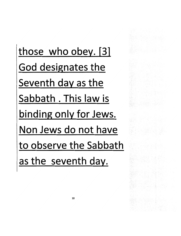*those who obey. [31 God designates the Seventh day as the Sabbath . This law is binding only for Jews. Non Jews do not have to observe the Sabbath as the seventh day.*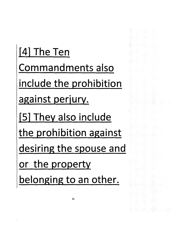[4] The Ten Commandments also include the prohibition against perjury. [51 They also include the prohibition against desiring the spouse and or the property belonging to an other.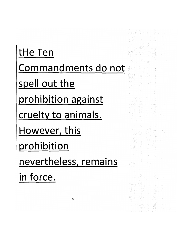tHe Ten Commandments do not spell out the prohibition against cruelty to animals. However, this prohibition nevertheless, remains in force.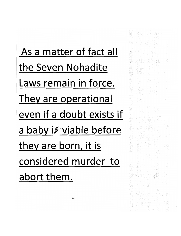As a matter of fact all the Seven Nohadite Laws remain in force. They are operational even if a doubt exists if a baby is viable before they are born, it is considered murder to abort them.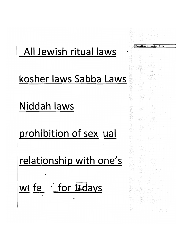

**Formatted:** Line spacing: Double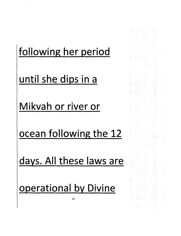### following her period

생수 나는 얼굴

in 1630 (n. 1700)<br>1904 - Pietra Pietra (n. 1700)<br>1905 - Pietra Pietra (n. 1700)

utan ing politika.<br>Dalam pilih politika

아이들의 사진<br>1200년 - 대한민국의 대한민국의 대한민국<br>1200년 - 대한민국의 대한민국의 대한민국의

IN BI

until she dips in a

Mikvah or river or

ocean following the 12

days. All these laws are

operational by Divine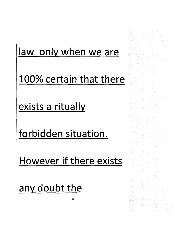#### law only when we are

at še stani

(薬品) (薬品) WALCOM #2.04

All also shells.

, Britaill

그렇는 나는 후반 속에 a din woodna dadka 題 D難 App Bassist (1990

√È.

도출기

100% certain that there

exists a ritually

forbidden situation.

However if there exists

any doubt the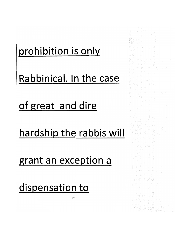# prohibition is only

Rabbinical. In the case

돌 좋은 집국

(동국) (프로르 - ))

giska o Gandan Go

of great and dire

hardship the rabbis will

*17*

grant an exception a

dispensation to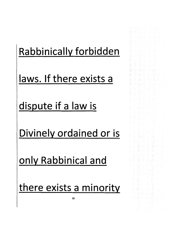# *Rabbinicallv forbidden*

ik në partit ku

나 있는 소리를 시

공료 회교로 나서 - 출근 14 - 보드는 모 31 올할 때 Affilia

hele velka v 나왔다. 그리고 아이 나는

- 金 속 소 볼 HC 가

(薬) : 이 사이 Sig

12 레이드 Apple 60 - 50

#### *laws. If there exists a*

*dispute if a law is*

*Divinely ordained or is*

*only Rabbinical and*

*there exists a minority*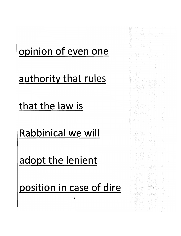# opinion of even one

1998-1998 - Paul III (f. 1970)<br>1992: Antonio Politiko (f. 1989)<br>1992: Antonio Politiko (f. 1989)

(2014年10月)<br>第29章 1967章 10月

Anglo 26, o Silo 26, o Solo<br>Silo 26, o Silo 26, o Silo<br>Silo 26, o Silo 26, o Silo

. 그래도 2007년 - 1999년 12월<br>1992년 - 1999년 10월 1일

- 대부분 결과 이 시 도입한 변호.<br>2007년 1월 20일 - 대부분 보호.

6366

authority that rules

that the law is

Rabbinical we will

adopt the lenient

position in case of dire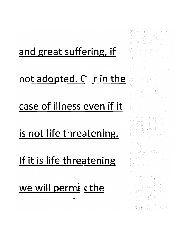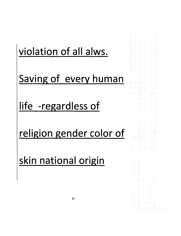# *violation of all alws.*

*Saving of every human*

*life -regardless of*

*religion gender color of*

*skin national origin*

Artistic Soft in Andrew Angels

第142 月1

tijk an de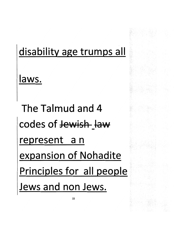#### *disability age trumps all*

*laws.*

*The Talmud and 4 codes of Jewish jaw represent a n expansion of Nohadite Principles for all people Jews and non Jews.*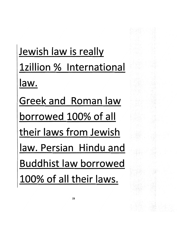Jewish law is really Izillion % International law. Greek and Roman law borrowed 100% of all their laws from Jewish law. Persian Hindu and Buddhist law borrowed 100% of all their laws.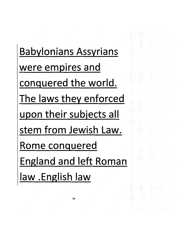*Babylonians Assyrians were empires and conquered the world. The laws they enforced upon their subjects all stem from Jewish Law. Rome conquered England and left Roman aw .English law*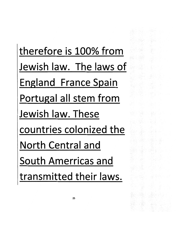*therefore is 100% from Jewish law. The laws of England France Spain Portugal all stem from Jewish law. These countries colonized the North Central and South Amerricas and transmitted their laws.*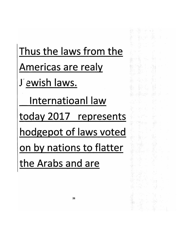*Thus the laws from the Americas are realy J ewish laws. Internatioanl law today 2017 represents hodgepot of laws voted on by nations to flatter the Arabs and are*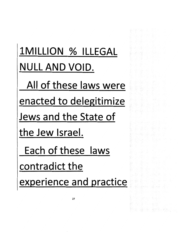# *1MILLI0N % ILLEGAL NULL AND VOID.*

*All of these laws were*

*enacted to delegitimize*

*Jews and the State of*

*the Jew Israel.*

*Each of these laws*

*contradict the*

*experience and practice*

Andre Hall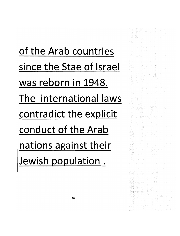*of the Arab countries since the Stae of Israe was reborn in 1948. The international laws contradict the explicit conduct of the Arab nations against their Jewish population.*

Reserve 불월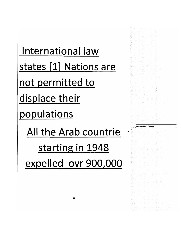International law states [1] Nations are not permitted to displace their populations All the Arab countrie starting in 1948 expelled ovr 900,000

*{ Formatted:* Centered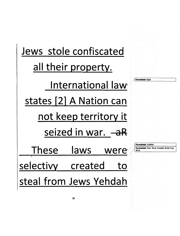| Jews stole confiscated  |                                                                                      |
|-------------------------|--------------------------------------------------------------------------------------|
| all their property.     |                                                                                      |
| International law       | <b>Formatted: Right</b>                                                              |
| states [2] A Nation can |                                                                                      |
| not keep territory it   |                                                                                      |
| seized in war. - a R    |                                                                                      |
| These laws were         | <b>Formatted: Justified</b><br>Formatted: Font: 48 pt, Complex Script Font:<br>48 pt |
| selectivy created<br>to |                                                                                      |
| steal from Jews Yehdah  |                                                                                      |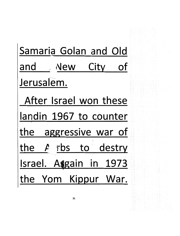Samaria Golan and Old and New City of Jerusalem. After Israel won these landin 1967 to counter the aggressive war of the **fi** rbs to destry Israel. Assain in 1973 the Yom Kippur War.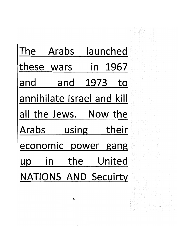| launched<br>The Arabs       |  |
|-----------------------------|--|
| in 1967<br>these wars       |  |
| 1973<br>and<br>and<br>to    |  |
| annihilate Israel and kill  |  |
| all the Jews. Now the       |  |
| using their<br>Arabs        |  |
| economic power gang         |  |
| United<br>the<br>up         |  |
| <b>NATIONS AND Secuirty</b> |  |
| 32                          |  |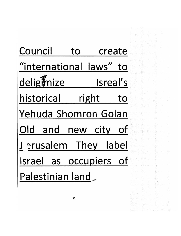| Council                 | to |                   | create |  |  |  |
|-------------------------|----|-------------------|--------|--|--|--|
| "international laws" to |    |                   |        |  |  |  |
| deligimize              |    | <b>Example 15</b> |        |  |  |  |
| historical right to     |    |                   |        |  |  |  |
| Yehuda Shomron Golan    |    |                   |        |  |  |  |
| Old and new city of     |    |                   |        |  |  |  |
| Jerusalem They label    |    |                   |        |  |  |  |
| Israel as occupiers of  |    |                   |        |  |  |  |
| Palestinian land        |    |                   |        |  |  |  |

edia (1991)<br>Maria Santo

anders and the second second second second second second second second second second second second second seco<br>Second second second second second second second second second second second second second second second second

in and a street<br>And a street of the street<br>And a street of the street